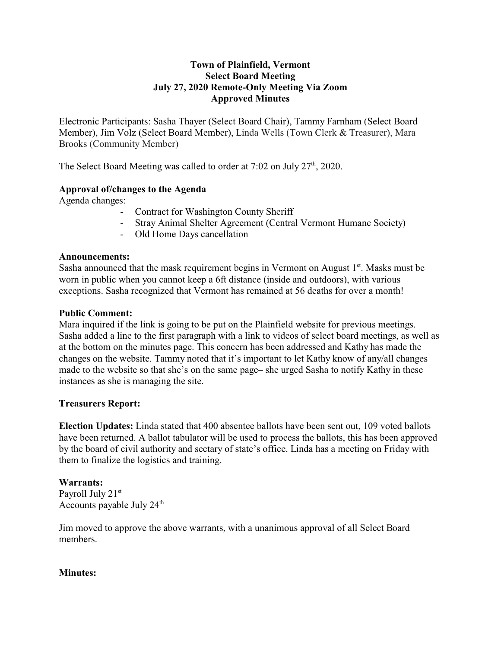## **Town of Plainfield, Vermont Select Board Meeting July 27, 2020 Remote-Only Meeting Via Zoom Approved Minutes**

Electronic Participants: Sasha Thayer (Select Board Chair), Tammy Farnham (Select Board Member), Jim Volz (Select Board Member), Linda Wells (Town Clerk & Treasurer), Mara Brooks (Community Member)

The Select Board Meeting was called to order at  $7:02$  on July  $27<sup>th</sup>$ , 2020.

# **Approval of/changes to the Agenda**

Agenda changes:

- Contract for Washington County Sheriff
- Stray Animal Shelter Agreement (Central Vermont Humane Society)
- Old Home Days cancellation

#### **Announcements:**

Sasha announced that the mask requirement begins in Vermont on August  $1<sup>st</sup>$ . Masks must be worn in public when you cannot keep a 6ft distance (inside and outdoors), with various exceptions. Sasha recognized that Vermont has remained at 56 deaths for over a month!

#### **Public Comment:**

Mara inquired if the link is going to be put on the Plainfield website for previous meetings. Sasha added a line to the first paragraph with a link to videos of select board meetings, as well as at the bottom on the minutes page. This concern has been addressed and Kathy has made the changes on the website. Tammy noted that it's important to let Kathy know of any/all changes made to the website so that she's on the same page– she urged Sasha to notify Kathy in these instances as she is managing the site.

## **Treasurers Report:**

**Election Updates:** Linda stated that 400 absentee ballots have been sent out, 109 voted ballots have been returned. A ballot tabulator will be used to process the ballots, this has been approved by the board of civil authority and sectary of state's office. Linda has a meeting on Friday with them to finalize the logistics and training.

## **Warrants:**

Payroll July 21<sup>st</sup> Accounts payable July  $24<sup>th</sup>$ 

Jim moved to approve the above warrants, with a unanimous approval of all Select Board members.

## **Minutes:**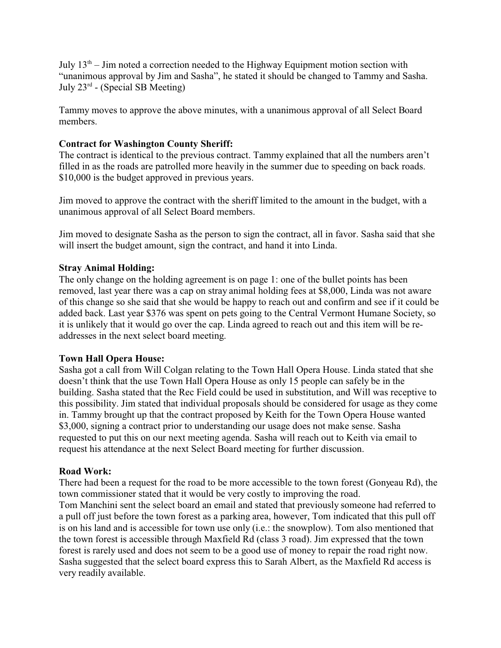July  $13<sup>th</sup>$  – Jim noted a correction needed to the Highway Equipment motion section with "unanimous approval by Jim and Sasha", he stated it should be changed to Tammy and Sasha. July 23<sup>rd</sup> - (Special SB Meeting)

Tammy moves to approve the above minutes, with a unanimous approval of all Select Board members.

# **Contract for Washington County Sheriff:**

The contract is identical to the previous contract. Tammy explained that all the numbers aren't filled in as the roads are patrolled more heavily in the summer due to speeding on back roads. \$10,000 is the budget approved in previous years.

Jim moved to approve the contract with the sheriff limited to the amount in the budget, with a unanimous approval of all Select Board members.

Jim moved to designate Sasha as the person to sign the contract, all in favor. Sasha said that she will insert the budget amount, sign the contract, and hand it into Linda.

# **Stray Animal Holding:**

The only change on the holding agreement is on page 1: one of the bullet points has been removed, last year there was a cap on stray animal holding fees at \$8,000, Linda was not aware of this change so she said that she would be happy to reach out and confirm and see if it could be added back. Last year \$376 was spent on pets going to the Central Vermont Humane Society, so it is unlikely that it would go over the cap. Linda agreed to reach out and this item will be readdresses in the next select board meeting.

## **Town Hall Opera House:**

Sasha got a call from Will Colgan relating to the Town Hall Opera House. Linda stated that she doesn't think that the use Town Hall Opera House as only 15 people can safely be in the building. Sasha stated that the Rec Field could be used in substitution, and Will was receptive to this possibility. Jim stated that individual proposals should be considered for usage as they come in. Tammy brought up that the contract proposed by Keith for the Town Opera House wanted \$3,000, signing a contract prior to understanding our usage does not make sense. Sasha requested to put this on our next meeting agenda. Sasha will reach out to Keith via email to request his attendance at the next Select Board meeting for further discussion.

## **Road Work:**

There had been a request for the road to be more accessible to the town forest (Gonyeau Rd), the town commissioner stated that it would be very costly to improving the road.

Tom Manchini sent the select board an email and stated that previously someone had referred to a pull off just before the town forest as a parking area, however, Tom indicated that this pull off is on his land and is accessible for town use only (i.e.: the snowplow). Tom also mentioned that the town forest is accessible through Maxfield Rd (class 3 road). Jim expressed that the town forest is rarely used and does not seem to be a good use of money to repair the road right now. Sasha suggested that the select board express this to Sarah Albert, as the Maxfield Rd access is very readily available.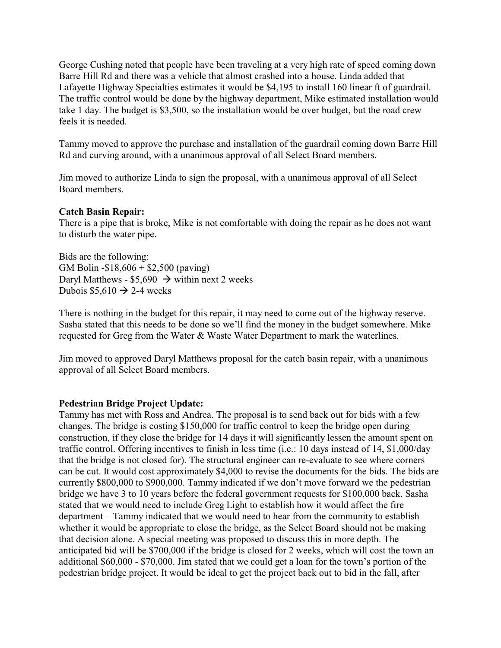George Cushing noted that people have been traveling at a very high rate of speed coming down Barre Hill Rd and there was a vehicle that almost crashed into a house. Linda added that Lafayette Highway Specialties estimates it would be \$4,195 to install 160 linear ft of guardrail. The traffic control would be done by the highway department, Mike estimated installation would take 1 day. The budget is \$3,500, so the installation would be over budget, but the road crew feels it is needed.

Tammy moved to approve the purchase and installation of the guardrail coming down Barre Hill Rd and curving around, with a unanimous approval of all Select Board members.

Jim moved to authorize Linda to sign the proposal, with a unanimous approval of all Select Board members.

# **Catch Basin Repair:**

There is a pipe that is broke, Mike is not comfortable with doing the repair as he does not want to disturb the water pipe.

Bids are the following: GM Bolin -\$18,606 + \$2,500 (paving) Daryl Matthews - \$5,690  $\rightarrow$  within next 2 weeks Dubois  $$5,610 \rightarrow 2-4$  weeks

There is nothing in the budget for this repair, it may need to come out of the highway reserve. Sasha stated that this needs to be done so we'll find the money in the budget somewhere. Mike requested for Greg from the Water & Waste Water Department to mark the waterlines.

Jim moved to approved Daryl Matthews proposal for the catch basin repair, with a unanimous approval of all Select Board members.

## **Pedestrian Bridge Project Update:**

Tammy has met with Ross and Andrea. The proposal is to send back out for bids with a few changes. The bridge is costing \$150,000 for traffic control to keep the bridge open during construction, if they close the bridge for 14 days it will significantly lessen the amount spent on traffic control. Offering incentives to finish in less time (i.e.: 10 days instead of 14, \$1,000/day that the bridge is not closed for). The structural engineer can re-evaluate to see where corners can be cut. It would cost approximately \$4,000 to revise the documents for the bids. The bids are currently \$800,000 to \$900,000. Tammy indicated if we don't move forward we the pedestrian bridge we have 3 to 10 years before the federal government requests for \$100,000 back. Sasha stated that we would need to include Greg Light to establish how it would affect the fire department – Tammy indicated that we would need to hear from the community to establish whether it would be appropriate to close the bridge, as the Select Board should not be making that decision alone. A special meeting was proposed to discuss this in more depth. The anticipated bid will be \$700,000 if the bridge is closed for 2 weeks, which will cost the town an additional \$60,000 - \$70,000. Jim stated that we could get a loan for the town's portion of the pedestrian bridge project. It would be ideal to get the project back out to bid in the fall, after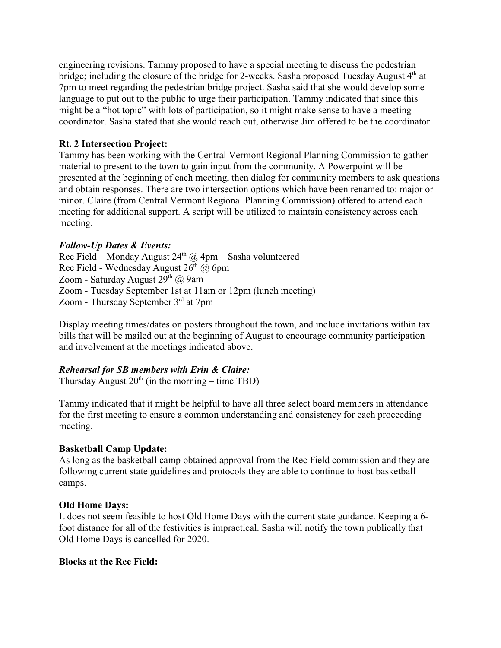engineering revisions. Tammy proposed to have a special meeting to discuss the pedestrian bridge; including the closure of the bridge for 2-weeks. Sasha proposed Tuesday August 4<sup>th</sup> at 7pm to meet regarding the pedestrian bridge project. Sasha said that she would develop some language to put out to the public to urge their participation. Tammy indicated that since this might be a "hot topic" with lots of participation, so it might make sense to have a meeting coordinator. Sasha stated that she would reach out, otherwise Jim offered to be the coordinator.

# **Rt. 2 Intersection Project:**

Tammy has been working with the Central Vermont Regional Planning Commission to gather material to present to the town to gain input from the community. A Powerpoint will be presented at the beginning of each meeting, then dialog for community members to ask questions and obtain responses. There are two intersection options which have been renamed to: major or minor. Claire (from Central Vermont Regional Planning Commission) offered to attend each meeting for additional support. A script will be utilized to maintain consistency across each meeting.

# *Follow-Up Dates & Events:*

Rec Field – Monday August  $24<sup>th</sup>$  @ 4pm – Sasha volunteered Rec Field - Wednesday August  $26<sup>th</sup>$  @ 6pm Zoom - Saturday August 29<sup>th</sup> @ 9am Zoom - Tuesday September 1st at 11am or 12pm (lunch meeting) Zoom - Thursday September 3<sup>rd</sup> at 7pm

Display meeting times/dates on posters throughout the town, and include invitations within tax bills that will be mailed out at the beginning of August to encourage community participation and involvement at the meetings indicated above.

## *Rehearsal for SB members with Erin & Claire:*

Thursday August  $20<sup>th</sup>$  (in the morning – time TBD)

Tammy indicated that it might be helpful to have all three select board members in attendance for the first meeting to ensure a common understanding and consistency for each proceeding meeting.

## **Basketball Camp Update:**

As long as the basketball camp obtained approval from the Rec Field commission and they are following current state guidelines and protocols they are able to continue to host basketball camps.

## **Old Home Days:**

It does not seem feasible to host Old Home Days with the current state guidance. Keeping a 6 foot distance for all of the festivities is impractical. Sasha will notify the town publically that Old Home Days is cancelled for 2020.

## **Blocks at the Rec Field:**